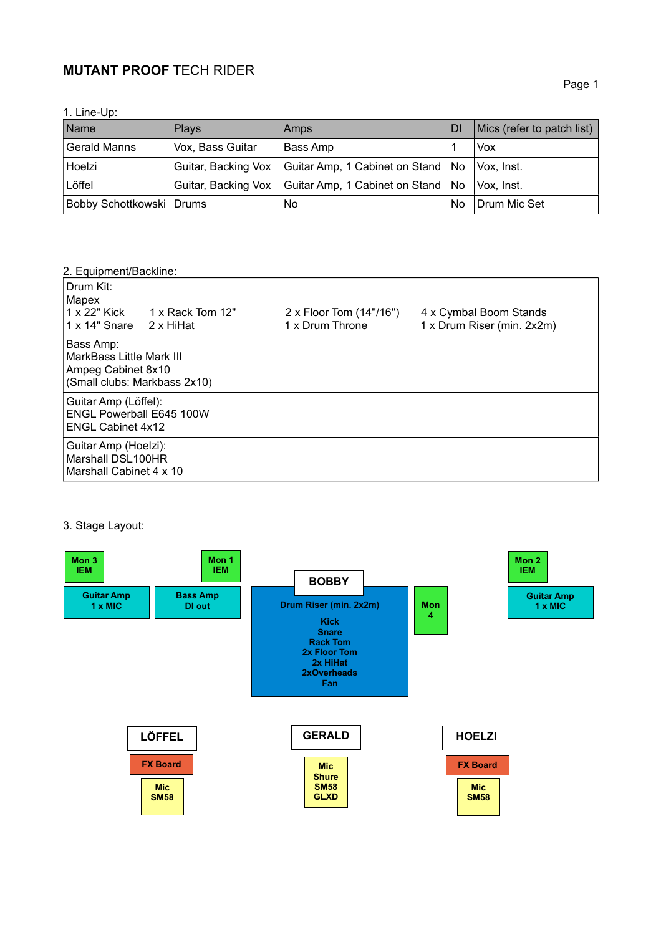# **MUTANT PROOF** TECH RIDER

| . Line-Up: |  |
|------------|--|
|            |  |

| Name                       | <b>Plays</b>     | <b>Amps</b>                                                            | <b>DI</b> | Mics (refer to patch list) |
|----------------------------|------------------|------------------------------------------------------------------------|-----------|----------------------------|
| <b>Gerald Manns</b>        | Vox, Bass Guitar | Bass Amp                                                               |           | <b>Vox</b>                 |
| Hoelzi                     |                  | Guitar, Backing Vox   Guitar Amp, 1 Cabinet on Stand   No   Vox, Inst. |           |                            |
| Löffel                     |                  | Guitar, Backing Vox   Guitar Amp, 1 Cabinet on Stand   No              |           | Vox. Inst.                 |
| Bobby Schottkowski   Drums |                  | No.                                                                    | No        | Drum Mic Set               |

### 2. Equipment/Backline:

| Drum Kit:<br>Mapex<br>1 x 22" Kick<br>1 x 14" Snare                                 | 1 x Rack Tom 12"<br>2 x HiHat                                                  | 2 x Floor Tom (14"/16")<br>1 x Drum Throne | 4 x Cymbal Boom Stands<br>1 x Drum Riser (min. 2x2m) |  |
|-------------------------------------------------------------------------------------|--------------------------------------------------------------------------------|--------------------------------------------|------------------------------------------------------|--|
| Bass Amp:                                                                           | MarkBass Little Mark III<br>Ampeg Cabinet 8x10<br>(Small clubs: Markbass 2x10) |                                            |                                                      |  |
| Guitar Amp (Löffel):<br><b>ENGL Powerball E645 100W</b><br><b>ENGL Cabinet 4x12</b> |                                                                                |                                            |                                                      |  |
| Guitar Amp (Hoelzi):<br>Marshall DSL100HR<br>Marshall Cabinet 4 x 10                |                                                                                |                                            |                                                      |  |

### 3. Stage Layout: